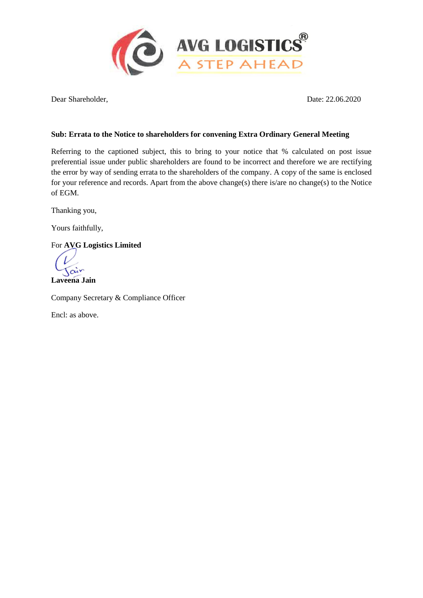

Dear Shareholder, Date: 22.06.2020

### **Sub: Errata to the Notice to shareholders for convening Extra Ordinary General Meeting**

Referring to the captioned subject, this to bring to your notice that % calculated on post issue preferential issue under public shareholders are found to be incorrect and therefore we are rectifying the error by way of sending errata to the shareholders of the company. A copy of the same is enclosed for your reference and records. Apart from the above change(s) there is/are no change(s) to the Notice of EGM.

Thanking you,

Yours faithfully,

For **AVG Logistics Limited**

Tair

**Laveena Jain**

Company Secretary & Compliance Officer

Encl: as above.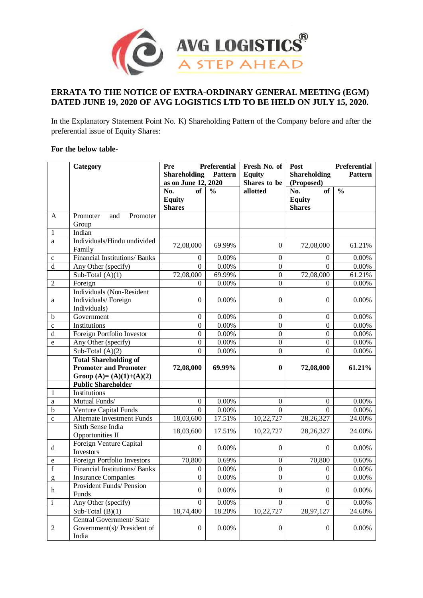

### **ERRATA TO THE NOTICE OF EXTRA-ORDINARY GENERAL MEETING (EGM) DATED JUNE 19, 2020 OF AVG LOGISTICS LTD TO BE HELD ON JULY 15, 2020.**

In the Explanatory Statement Point No. K) Shareholding Pattern of the Company before and after the preferential issue of Equity Shares:

### **For the below table-**

|                | Category                                                          | Pre                 | <b>Preferential</b> | Fresh No. of     | Post                | <b>Preferential</b> |
|----------------|-------------------------------------------------------------------|---------------------|---------------------|------------------|---------------------|---------------------|
|                |                                                                   | <b>Shareholding</b> | Pattern             | <b>Equity</b>    | <b>Shareholding</b> | <b>Pattern</b>      |
|                |                                                                   | as on June 12, 2020 |                     | Shares to be     | (Proposed)          |                     |
|                |                                                                   | No.<br>of           | $\frac{0}{0}$       | allotted         | No.<br>of           | $\frac{0}{0}$       |
|                |                                                                   | <b>Equity</b>       |                     |                  | <b>Equity</b>       |                     |
|                |                                                                   | <b>Shares</b>       |                     |                  | <b>Shares</b>       |                     |
| A              | Promoter<br>and<br>Promoter                                       |                     |                     |                  |                     |                     |
|                | Group                                                             |                     |                     |                  |                     |                     |
| $\mathbf{1}$   | Indian                                                            |                     |                     |                  |                     |                     |
| a              | Individuals/Hindu undivided                                       | 72,08,000           | 69.99%              | $\mathbf{0}$     | 72,08,000           | 61.21%              |
|                | Family                                                            |                     |                     |                  |                     |                     |
| $\mathbf c$    | <b>Financial Institutions/Banks</b>                               | $\boldsymbol{0}$    | 0.00%               | $\boldsymbol{0}$ | $\mathbf{0}$        | 0.00%               |
| $\rm d$        | Any Other (specify)                                               | $\overline{0}$      | 0.00%               | $\boldsymbol{0}$ | $\Omega$            | $0.00\%$            |
|                | Sub-Total $(A)(1)$                                                | 72,08,000           | 69.99%              | $\boldsymbol{0}$ | 72,08,000           | 61.21%              |
| $\overline{2}$ | Foreign                                                           | $\Omega$            | 0.00%               | $\overline{0}$   | $\Omega$            | 0.00%               |
|                | Individuals (Non-Resident                                         |                     |                     |                  |                     |                     |
| a              | Individuals/Foreign                                               | $\overline{0}$      | 0.00%               | $\mathbf{0}$     | $\Omega$            | 0.00%               |
|                | Individuals)                                                      |                     |                     |                  |                     |                     |
| b              | Government                                                        | $\boldsymbol{0}$    | 0.00%               | $\boldsymbol{0}$ | $\overline{0}$      | 0.00%               |
| $\mathbf c$    | Institutions                                                      | $\boldsymbol{0}$    | 0.00%               | $\mathbf{0}$     | $\overline{0}$      | 0.00%               |
| $\rm d$        | Foreign Portfolio Investor                                        | $\boldsymbol{0}$    | 0.00%               | $\mathbf{0}$     | $\boldsymbol{0}$    | 0.00%               |
| e              | Any Other (specify)                                               | $\boldsymbol{0}$    | 0.00%               | $\mathbf{0}$     | $\boldsymbol{0}$    | 0.00%               |
|                | Sub-Total $(A)(2)$                                                | $\overline{0}$      | 0.00%               | $\boldsymbol{0}$ | $\Omega$            | 0.00%               |
|                | <b>Total Shareholding of</b>                                      |                     |                     |                  |                     |                     |
|                | <b>Promoter and Promoter</b>                                      | 72,08,000           | 69.99%              | $\bf{0}$         | 72,08,000           | 61.21%              |
|                | Group $(A)=(A)(1)+(A)(2)$                                         |                     |                     |                  |                     |                     |
|                | <b>Public Shareholder</b>                                         |                     |                     |                  |                     |                     |
| 1              | Institutions                                                      |                     |                     |                  |                     |                     |
| a              | Mutual Funds/                                                     | $\boldsymbol{0}$    | 0.00%               | $\mathbf{0}$     | $\mathbf{0}$        | 0.00%               |
| $\mathbf b$    | <b>Venture Capital Funds</b>                                      | $\Omega$            | 0.00%               | $\Omega$         | $\Omega$            | 0.00%               |
| $\mathbf c$    | <b>Alternate Investment Funds</b>                                 | 18,03,600           | 17.51%              | 10,22,727        | 28, 26, 327         | 24.00%              |
|                | Sixth Sense India                                                 | 18,03,600           | 17.51%              | 10,22,727        | 28, 26, 327         | 24.00%              |
|                | Opportunities II                                                  |                     |                     |                  |                     |                     |
| d              | Foreign Venture Capital                                           | $\theta$            | 0.00%               | $\mathbf{0}$     | $\Omega$            | 0.00%               |
|                | Investors                                                         |                     |                     |                  |                     |                     |
| e              | Foreign Portfolio Investors                                       | 70,800              | 0.69%               | $\theta$         | 70,800              | 0.60%               |
| $\mathbf f$    | Financial Institutions/ Banks                                     | 0                   | 0.00%<br>$0.00\%$   | $\boldsymbol{0}$ | 0                   | 0.00%               |
| $\mathfrak g$  | <b>Insurance Companies</b>                                        | $\overline{0}$      |                     | $\overline{0}$   | $\overline{0}$      | 0.00%               |
| $\mathbf h$    | Provident Funds/ Pension<br>Funds                                 | $\boldsymbol{0}$    | 0.00%               | $\boldsymbol{0}$ | $\overline{0}$      | 0.00%               |
| $\rm i$        | Any Other (specify)                                               | $\boldsymbol{0}$    | $0.00\%$            | $\overline{0}$   | $\overline{0}$      | 0.00%               |
|                | Sub-Total $(B)(1)$                                                | 18,74,400           | 18.20%              | 10,22,727        | 28,97,127           | 24.60%              |
| $\overline{c}$ | Central Government/ State<br>Government(s)/ President of<br>India | $\boldsymbol{0}$    | $0.00\%$            | $\boldsymbol{0}$ | $\boldsymbol{0}$    | $0.00\%$            |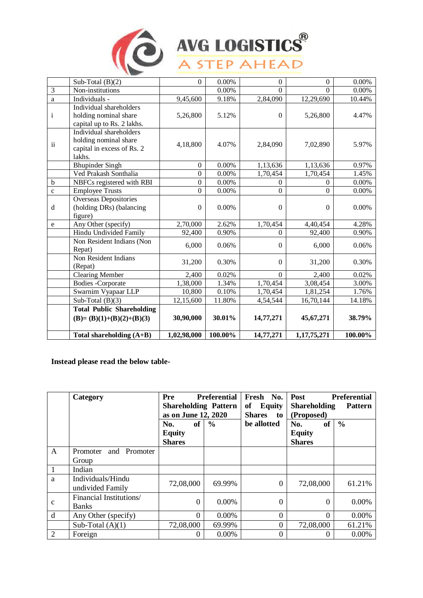

# AVG LOGISTICS<sup>®</sup>

|                | Sub-Total (B)(2)                 | $\Omega$         | 0.00%   | $\Omega$         | $\Omega$       | 0.00%   |
|----------------|----------------------------------|------------------|---------|------------------|----------------|---------|
| $\overline{3}$ | Non-institutions                 |                  | 0.00%   | $\overline{0}$   | $\Omega$       | 0.00%   |
| $\mathbf{a}$   | Individuals -                    | 9,45,600         | 9.18%   | 2,84,090         | 12,29,690      | 10.44%  |
|                | Individual shareholders          |                  |         |                  |                |         |
| $\mathbf{i}$   | holding nominal share            | 5,26,800         | 5.12%   | $\theta$         | 5,26,800       | 4.47%   |
|                | capital up to Rs. 2 lakhs.       |                  |         |                  |                |         |
|                | Individual shareholders          |                  |         |                  |                |         |
| $\rm ii$       | holding nominal share            | 4,18,800         | 4.07%   | 2,84,090         | 7,02,890       | 5.97%   |
|                | capital in excess of Rs. 2       |                  |         |                  |                |         |
|                | lakhs.                           |                  |         |                  |                |         |
|                | <b>Bhupinder Singh</b>           | $\boldsymbol{0}$ | 0.00%   | 1,13,636         | 1,13,636       | 0.97%   |
|                | Ved Prakash Sonthalia            | $\overline{0}$   | 0.00%   | 1,70,454         | 1,70,454       | 1.45%   |
| $\mathbf b$    | NBFCs registered with RBI        | $\boldsymbol{0}$ | 0.00%   | $\mathbf{0}$     | $\overline{0}$ | 0.00%   |
| $\mathbf{c}$   | <b>Employee Trusts</b>           | $\boldsymbol{0}$ | 0.00%   | $\boldsymbol{0}$ | $\Omega$       | 0.00%   |
|                | Overseas Depositories            |                  |         |                  |                |         |
| d              | (holding DRs) (balancing         | $\Omega$         | 0.00%   | $\theta$         | $\Omega$       | 0.00%   |
|                | figure)                          |                  |         |                  |                |         |
| e              | Any Other (specify)              | 2,70,000         | 2.62%   | 1,70,454         | 4,40,454       | 4.28%   |
|                | Hindu Undivided Family           | 92,400           | 0.90%   | $\Omega$         | 92,400         | 0.90%   |
|                | Non Resident Indians (Non        | 6,000            | 0.06%   | $\Omega$         | 6,000          | 0.06%   |
|                | Repat)                           |                  |         |                  |                |         |
|                | Non Resident Indians             | 31,200           | 0.30%   | $\overline{0}$   | 31,200         | 0.30%   |
|                | (Repat)                          |                  |         |                  |                |         |
|                | <b>Clearing Member</b>           | 2,400            | 0.02%   | $\overline{0}$   | 2,400          | 0.02%   |
|                | <b>Bodies</b> - Corporate        | 1,38,000         | 1.34%   | 1,70,454         | 3,08,454       | 3.00%   |
|                | Swarnim Vyapaar LLP              | 10,800           | 0.10%   | 1,70,454         | 1,81,254       | 1.76%   |
|                | Sub-Total $(B)(3)$               | 12,15,600        | 11.80%  | 4,54,544         | 16,70,144      | 14.18%  |
|                | <b>Total Public Shareholding</b> |                  |         |                  |                |         |
|                | $(B)=(B)(1)+(B)(2)+(B)(3)$       | 30,90,000        | 30.01%  | 14,77,271        | 45,67,271      | 38.79%  |
|                | Total shareholding $(A+B)$       | 1,02,98,000      | 100.00% | 14,77,271        | 1,17,75,271    | 100.00% |

### **Instead please read the below table-**

|              | Category                                | Pre<br><b>Preferential</b><br><b>Shareholding Pattern</b><br>as on June 12, 2020 |               | Fresh No.<br>of<br><b>Equity</b><br><b>Shares</b><br>to to | <b>Preferential</b><br>Post<br><b>Shareholding</b><br><b>Pattern</b><br>(Proposed) |               |
|--------------|-----------------------------------------|----------------------------------------------------------------------------------|---------------|------------------------------------------------------------|------------------------------------------------------------------------------------|---------------|
|              |                                         | <b>of</b><br>No.<br><b>Equity</b><br><b>Shares</b>                               | $\frac{0}{0}$ | be allotted                                                | <b>of</b><br>No.<br><b>Equity</b><br><b>Shares</b>                                 | $\frac{0}{0}$ |
| $\mathbf{A}$ | and Promoter<br>Promoter<br>Group       |                                                                                  |               |                                                            |                                                                                    |               |
| $\mathbf{1}$ | Indian                                  |                                                                                  |               |                                                            |                                                                                    |               |
| a            | Individuals/Hindu<br>undivided Family   | 72,08,000                                                                        | 69.99%        | $\Omega$                                                   | 72,08,000                                                                          | 61.21%        |
| $\mathbf c$  | Financial Institutions/<br><b>Banks</b> | $\theta$                                                                         | $0.00\%$      | $\Omega$                                                   | $\Omega$                                                                           | 0.00%         |
| d            | Any Other (specify)                     | $\Omega$                                                                         | 0.00%         | $\Omega$                                                   | $\Omega$                                                                           | 0.00%         |
|              | Sub-Total $(A)(1)$                      | 72,08,000                                                                        | 69.99%        | $\Omega$                                                   | 72,08,000                                                                          | 61.21%        |
| 2            | Foreign                                 | 0                                                                                | $0.00\%$      | $\Omega$                                                   | $\Omega$                                                                           | $0.00\%$      |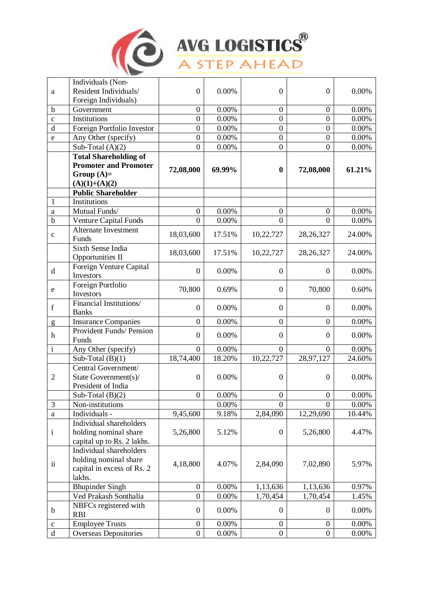

### AVG LOGISTICS<sup>®</sup>

|                | Individuals (Non-            |                  |          |                  |                  |          |
|----------------|------------------------------|------------------|----------|------------------|------------------|----------|
| a              | Resident Individuals/        | $\mathbf{0}$     | 0.00%    | $\boldsymbol{0}$ | $\boldsymbol{0}$ | 0.00%    |
|                | Foreign Individuals)         |                  |          |                  |                  |          |
| $\mathbf b$    | Government                   | $\boldsymbol{0}$ | 0.00%    | $\boldsymbol{0}$ | $\boldsymbol{0}$ | 0.00%    |
| $\mathbf c$    | Institutions                 | $\boldsymbol{0}$ | 0.00%    | $\boldsymbol{0}$ | $\boldsymbol{0}$ | 0.00%    |
| $\mathbf d$    | Foreign Portfolio Investor   | $\boldsymbol{0}$ | 0.00%    | $\overline{0}$   | $\boldsymbol{0}$ | 0.00%    |
| $\mathbf e$    | Any Other (specify)          | $\boldsymbol{0}$ | 0.00%    | $\overline{0}$   | $\boldsymbol{0}$ | 0.00%    |
|                | Sub-Total $(A)(2)$           | $\boldsymbol{0}$ | 0.00%    | $\boldsymbol{0}$ | $\boldsymbol{0}$ | 0.00%    |
|                | <b>Total Shareholding of</b> |                  |          |                  |                  |          |
|                | <b>Promoter and Promoter</b> |                  |          |                  |                  |          |
|                | Group $(A)=$                 | 72,08,000        | 69.99%   | $\boldsymbol{0}$ | 72,08,000        | 61.21%   |
|                | $(A)(1)+(A)(2)$              |                  |          |                  |                  |          |
|                | <b>Public Shareholder</b>    |                  |          |                  |                  |          |
| $\mathbf{1}$   | Institutions                 |                  |          |                  |                  |          |
| $\rm{a}$       | Mutual Funds/                | $\boldsymbol{0}$ | 0.00%    | $\boldsymbol{0}$ | $\boldsymbol{0}$ | 0.00%    |
| $\mathbf b$    | <b>Venture Capital Funds</b> | $\theta$         | 0.00%    | $\theta$         | $\theta$         | 0.00%    |
|                | <b>Alternate Investment</b>  |                  | 17.51%   |                  |                  |          |
| $\mathbf c$    | Funds                        | 18,03,600        |          | 10,22,727        | 28, 26, 327      | 24.00%   |
|                | Sixth Sense India            | 18,03,600        | 17.51%   | 10,22,727        | 28, 26, 327      | 24.00%   |
|                | <b>Opportunities II</b>      |                  |          |                  |                  |          |
| $\mathbf d$    | Foreign Venture Capital      | $\overline{0}$   | 0.00%    | $\overline{0}$   | $\boldsymbol{0}$ | 0.00%    |
|                | Investors                    |                  |          |                  |                  |          |
| $\mathbf e$    | Foreign Portfolio            | 70,800           | 0.69%    | $\boldsymbol{0}$ | 70,800           | 0.60%    |
|                | Investors                    |                  |          |                  |                  |          |
| $\mathbf f$    | Financial Institutions/      | $\boldsymbol{0}$ | 0.00%    | $\boldsymbol{0}$ | $\boldsymbol{0}$ | 0.00%    |
|                | <b>Banks</b>                 |                  |          |                  |                  |          |
| g              | <b>Insurance Companies</b>   | $\boldsymbol{0}$ | 0.00%    | $\overline{0}$   | $\boldsymbol{0}$ | 0.00%    |
| $\mathbf h$    | Provident Funds/ Pension     | $\mathbf{0}$     | 0.00%    | $\boldsymbol{0}$ | $\mathbf{0}$     | 0.00%    |
|                | Funds                        |                  |          |                  |                  |          |
| $\mathbf{i}$   | Any Other (specify)          | $\boldsymbol{0}$ | 0.00%    | $\theta$         | $\theta$         | 0.00%    |
|                | Sub-Total $(B)(1)$           | 18,74,400        | 18.20%   | 10,22,727        | 28,97,127        | 24.60%   |
|                | Central Government/          |                  |          |                  |                  |          |
| $\overline{2}$ | State Government(s)/         | $\boldsymbol{0}$ | 0.00%    | $\boldsymbol{0}$ | $\boldsymbol{0}$ | 0.00%    |
|                | President of India           |                  |          |                  |                  |          |
|                | Sub-Total $(B)(2)$           | $\boldsymbol{0}$ | 0.00%    | $\boldsymbol{0}$ | $\overline{0}$   | 0.00%    |
| $\mathfrak{Z}$ | Non-institutions             |                  | 0.00%    | $\theta$         | $\Omega$         | 0.00%    |
| $\rm{a}$       | Individuals -                | 9,45,600         | 9.18%    | 2,84,090         | 12,29,690        | 10.44%   |
|                | Individual shareholders      |                  |          |                  |                  |          |
| $\mathbf{i}$   | holding nominal share        | 5,26,800         | 5.12%    | $\boldsymbol{0}$ | 5,26,800         | 4.47%    |
|                | capital up to Rs. 2 lakhs.   |                  |          |                  |                  |          |
|                | Individual shareholders      |                  |          |                  |                  |          |
| $\rm ii$       | holding nominal share        | 4,18,800         | 4.07%    | 2,84,090         | 7,02,890         | 5.97%    |
|                | capital in excess of Rs. 2   |                  |          |                  |                  |          |
|                | lakhs.                       |                  |          |                  |                  |          |
|                | <b>Bhupinder Singh</b>       | $\boldsymbol{0}$ | 0.00%    | 1,13,636         | 1,13,636         | 0.97%    |
|                | Ved Prakash Sonthalia        | $\boldsymbol{0}$ | 0.00%    | 1,70,454         | 1,70,454         | 1.45%    |
| $\mathbf b$    | NBFCs registered with        | $\boldsymbol{0}$ | 0.00%    | $\boldsymbol{0}$ | $\overline{0}$   | 0.00%    |
|                | <b>RBI</b>                   |                  |          |                  |                  |          |
| $\mathbf c$    | <b>Employee Trusts</b>       | $\boldsymbol{0}$ | 0.00%    | $\overline{0}$   | $\boldsymbol{0}$ | 0.00%    |
| $\rm d$        | <b>Overseas Depositories</b> | $\boldsymbol{0}$ | $0.00\%$ | $\boldsymbol{0}$ | $\overline{0}$   | $0.00\%$ |